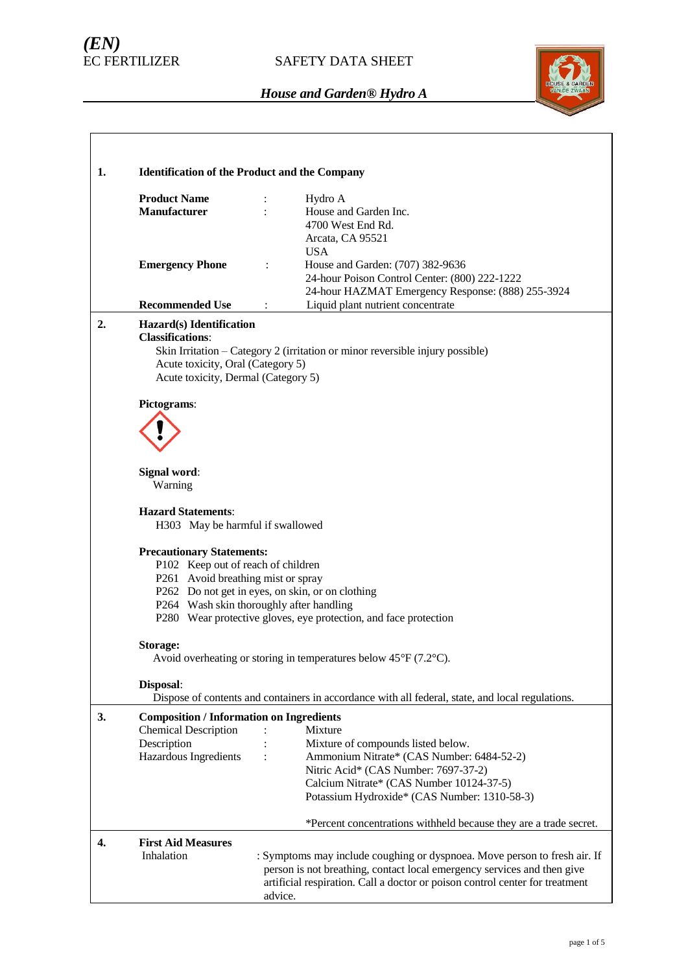# *(EN)*

# SAFETY DATA SHEET



| 1. |                                                                                                                                                                                                                  |                                                                                                                                                                    |  |  |  |  |  |
|----|------------------------------------------------------------------------------------------------------------------------------------------------------------------------------------------------------------------|--------------------------------------------------------------------------------------------------------------------------------------------------------------------|--|--|--|--|--|
|    | <b>Identification of the Product and the Company</b>                                                                                                                                                             |                                                                                                                                                                    |  |  |  |  |  |
|    | <b>Product Name</b>                                                                                                                                                                                              | Hydro A                                                                                                                                                            |  |  |  |  |  |
|    | <b>Manufacturer</b>                                                                                                                                                                                              | House and Garden Inc.                                                                                                                                              |  |  |  |  |  |
|    |                                                                                                                                                                                                                  | 4700 West End Rd.                                                                                                                                                  |  |  |  |  |  |
|    |                                                                                                                                                                                                                  | Arcata, CA 95521<br><b>USA</b>                                                                                                                                     |  |  |  |  |  |
|    | <b>Emergency Phone</b>                                                                                                                                                                                           | House and Garden: (707) 382-9636<br>$\ddot{\cdot}$                                                                                                                 |  |  |  |  |  |
|    |                                                                                                                                                                                                                  | 24-hour Poison Control Center: (800) 222-1222                                                                                                                      |  |  |  |  |  |
|    |                                                                                                                                                                                                                  | 24-hour HAZMAT Emergency Response: (888) 255-3924                                                                                                                  |  |  |  |  |  |
|    | <b>Recommended Use</b>                                                                                                                                                                                           | Liquid plant nutrient concentrate                                                                                                                                  |  |  |  |  |  |
| 2. | Hazard(s) Identification<br><b>Classifications:</b><br>Skin Irritation – Category 2 (irritation or minor reversible injury possible)<br>Acute toxicity, Oral (Category 5)<br>Acute toxicity, Dermal (Category 5) |                                                                                                                                                                    |  |  |  |  |  |
|    | Pictograms:<br>Signal word:<br>Warning                                                                                                                                                                           |                                                                                                                                                                    |  |  |  |  |  |
|    |                                                                                                                                                                                                                  |                                                                                                                                                                    |  |  |  |  |  |
|    | <b>Hazard Statements:</b><br>H303 May be harmful if swallowed                                                                                                                                                    |                                                                                                                                                                    |  |  |  |  |  |
|    | <b>Precautionary Statements:</b><br>P102 Keep out of reach of children                                                                                                                                           |                                                                                                                                                                    |  |  |  |  |  |
|    |                                                                                                                                                                                                                  |                                                                                                                                                                    |  |  |  |  |  |
|    | P261 Avoid breathing mist or spray                                                                                                                                                                               |                                                                                                                                                                    |  |  |  |  |  |
|    |                                                                                                                                                                                                                  | P262 Do not get in eyes, on skin, or on clothing                                                                                                                   |  |  |  |  |  |
|    |                                                                                                                                                                                                                  | P264 Wash skin thoroughly after handling                                                                                                                           |  |  |  |  |  |
|    | P280 Wear protective gloves, eye protection, and face protection                                                                                                                                                 |                                                                                                                                                                    |  |  |  |  |  |
|    |                                                                                                                                                                                                                  | <b>Storage:</b><br>Avoid overheating or storing in temperatures below $45^{\circ}F(7.2^{\circ}C)$ .                                                                |  |  |  |  |  |
|    |                                                                                                                                                                                                                  |                                                                                                                                                                    |  |  |  |  |  |
|    |                                                                                                                                                                                                                  |                                                                                                                                                                    |  |  |  |  |  |
|    | Disposal:                                                                                                                                                                                                        |                                                                                                                                                                    |  |  |  |  |  |
|    |                                                                                                                                                                                                                  | Dispose of contents and containers in accordance with all federal, state, and local regulations.                                                                   |  |  |  |  |  |
| 3. | <b>Composition / Information on Ingredients</b>                                                                                                                                                                  |                                                                                                                                                                    |  |  |  |  |  |
|    | <b>Chemical Description</b>                                                                                                                                                                                      | Mixture                                                                                                                                                            |  |  |  |  |  |
|    | Description                                                                                                                                                                                                      | Mixture of compounds listed below.                                                                                                                                 |  |  |  |  |  |
|    | Hazardous Ingredients                                                                                                                                                                                            | Ammonium Nitrate* (CAS Number: 6484-52-2)<br>$\ddot{\cdot}$                                                                                                        |  |  |  |  |  |
|    |                                                                                                                                                                                                                  | Nitric Acid* (CAS Number: 7697-37-2)                                                                                                                               |  |  |  |  |  |
|    |                                                                                                                                                                                                                  | Calcium Nitrate* (CAS Number 10124-37-5)<br>Potassium Hydroxide* (CAS Number: 1310-58-3)                                                                           |  |  |  |  |  |
|    |                                                                                                                                                                                                                  | *Percent concentrations withheld because they are a trade secret.                                                                                                  |  |  |  |  |  |
|    |                                                                                                                                                                                                                  |                                                                                                                                                                    |  |  |  |  |  |
| 4. | <b>First Aid Measures</b><br>Inhalation                                                                                                                                                                          | : Symptoms may include coughing or dyspnoea. Move person to fresh air. If                                                                                          |  |  |  |  |  |
|    |                                                                                                                                                                                                                  | person is not breathing, contact local emergency services and then give<br>artificial respiration. Call a doctor or poison control center for treatment<br>advice. |  |  |  |  |  |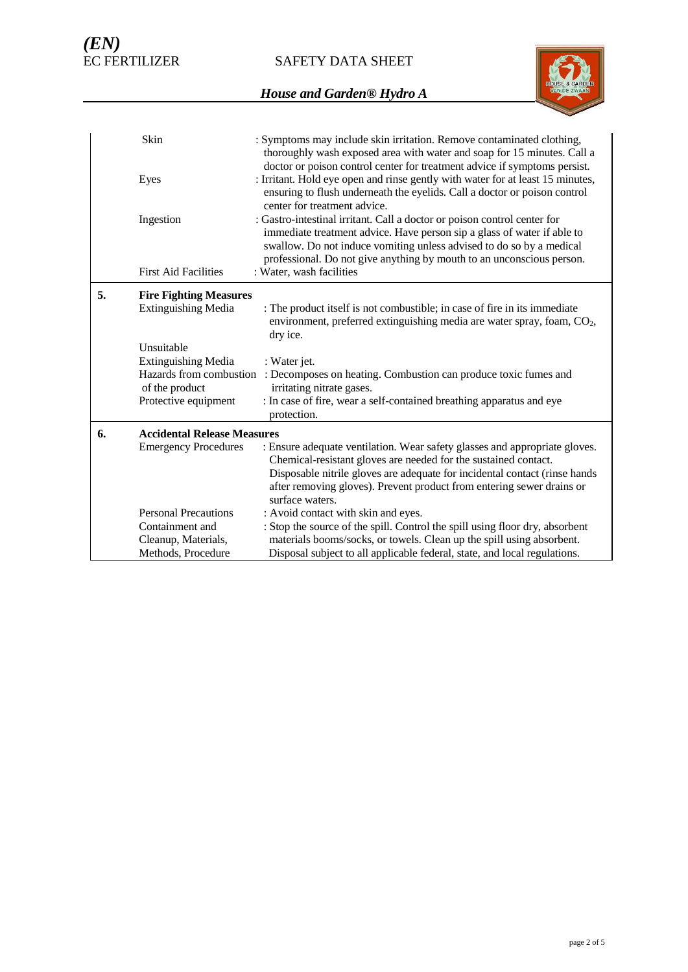SAFETY DATA SHEET



|    | Skin                                                                    | : Symptoms may include skin irritation. Remove contaminated clothing,<br>thoroughly wash exposed area with water and soap for 15 minutes. Call a<br>doctor or poison control center for treatment advice if symptoms persist.                                                                        |
|----|-------------------------------------------------------------------------|------------------------------------------------------------------------------------------------------------------------------------------------------------------------------------------------------------------------------------------------------------------------------------------------------|
|    | Eyes                                                                    | : Irritant. Hold eye open and rinse gently with water for at least 15 minutes,<br>ensuring to flush underneath the eyelids. Call a doctor or poison control<br>center for treatment advice.                                                                                                          |
|    | Ingestion                                                               | : Gastro-intestinal irritant. Call a doctor or poison control center for<br>immediate treatment advice. Have person sip a glass of water if able to<br>swallow. Do not induce vomiting unless advised to do so by a medical<br>professional. Do not give anything by mouth to an unconscious person. |
|    | <b>First Aid Facilities</b>                                             | : Water, wash facilities                                                                                                                                                                                                                                                                             |
| 5. | <b>Fire Fighting Measures</b>                                           |                                                                                                                                                                                                                                                                                                      |
|    | <b>Extinguishing Media</b>                                              | : The product itself is not combustible; in case of fire in its immediate<br>environment, preferred extinguishing media are water spray, foam, $CO2$ ,<br>dry ice.                                                                                                                                   |
|    | Unsuitable                                                              |                                                                                                                                                                                                                                                                                                      |
|    | <b>Extinguishing Media</b><br>Hazards from combustion<br>of the product | : Water jet.<br>: Decomposes on heating. Combustion can produce toxic fumes and<br>irritating nitrate gases.                                                                                                                                                                                         |
|    | Protective equipment                                                    | : In case of fire, wear a self-contained breathing apparatus and eye<br>protection.                                                                                                                                                                                                                  |
| 6. | <b>Accidental Release Measures</b>                                      |                                                                                                                                                                                                                                                                                                      |
|    | <b>Emergency Procedures</b>                                             | : Ensure adequate ventilation. Wear safety glasses and appropriate gloves.<br>Chemical-resistant gloves are needed for the sustained contact.<br>Disposable nitrile gloves are adequate for incidental contact (rinse hands                                                                          |
|    |                                                                         | after removing gloves). Prevent product from entering sewer drains or<br>surface waters.                                                                                                                                                                                                             |
|    | <b>Personal Precautions</b>                                             | : Avoid contact with skin and eyes.                                                                                                                                                                                                                                                                  |
|    | Containment and                                                         | : Stop the source of the spill. Control the spill using floor dry, absorbent                                                                                                                                                                                                                         |
|    | Cleanup, Materials,                                                     | materials booms/socks, or towels. Clean up the spill using absorbent.                                                                                                                                                                                                                                |
|    | Methods, Procedure                                                      | Disposal subject to all applicable federal, state, and local regulations.                                                                                                                                                                                                                            |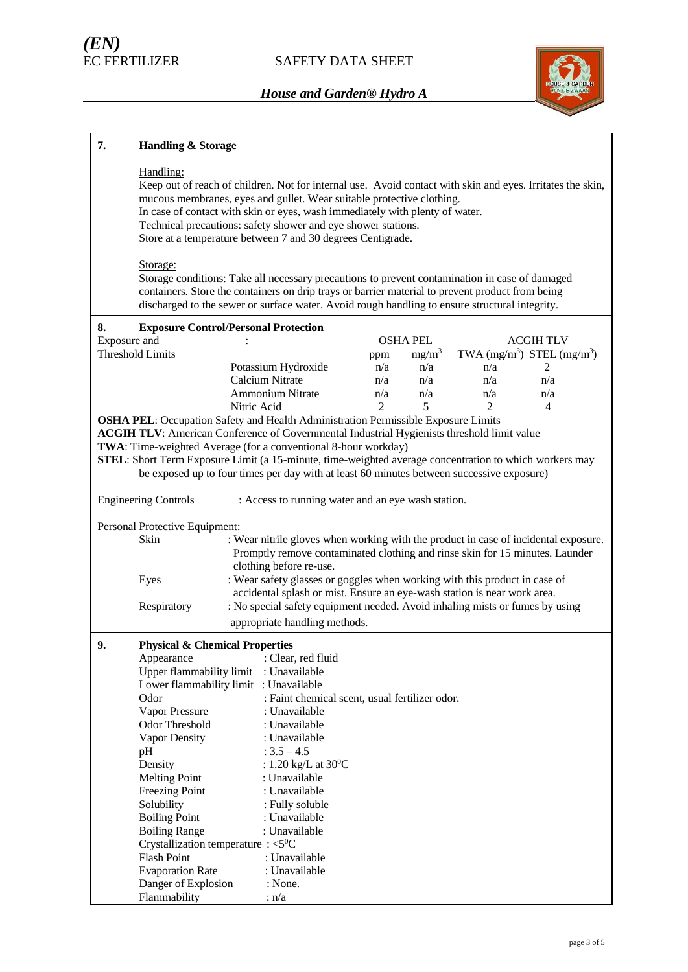

| 7.           | <b>Handling &amp; Storage</b>                                                                                                                                                                                                                                                                                                                                                                                    |                                                                                                                                                                                                                                                                                                                                                                                                                                                                        |                                                |                                     |          |                                |
|--------------|------------------------------------------------------------------------------------------------------------------------------------------------------------------------------------------------------------------------------------------------------------------------------------------------------------------------------------------------------------------------------------------------------------------|------------------------------------------------------------------------------------------------------------------------------------------------------------------------------------------------------------------------------------------------------------------------------------------------------------------------------------------------------------------------------------------------------------------------------------------------------------------------|------------------------------------------------|-------------------------------------|----------|--------------------------------|
|              | Handling:<br>Keep out of reach of children. Not for internal use. Avoid contact with skin and eyes. Irritates the skin,<br>mucous membranes, eyes and gullet. Wear suitable protective clothing.<br>In case of contact with skin or eyes, wash immediately with plenty of water.<br>Technical precautions: safety shower and eye shower stations.<br>Store at a temperature between 7 and 30 degrees Centigrade. |                                                                                                                                                                                                                                                                                                                                                                                                                                                                        |                                                |                                     |          |                                |
|              | Storage:                                                                                                                                                                                                                                                                                                                                                                                                         | Storage conditions: Take all necessary precautions to prevent contamination in case of damaged<br>containers. Store the containers on drip trays or barrier material to prevent product from being<br>discharged to the sewer or surface water. Avoid rough handling to ensure structural integrity.                                                                                                                                                                   |                                                |                                     |          |                                |
| 8.           |                                                                                                                                                                                                                                                                                                                                                                                                                  | <b>Exposure Control/Personal Protection</b>                                                                                                                                                                                                                                                                                                                                                                                                                            |                                                |                                     |          |                                |
| Exposure and |                                                                                                                                                                                                                                                                                                                                                                                                                  |                                                                                                                                                                                                                                                                                                                                                                                                                                                                        |                                                | <b>OSHA PEL</b><br><b>ACGIH TLV</b> |          |                                |
|              | <b>Threshold Limits</b>                                                                                                                                                                                                                                                                                                                                                                                          |                                                                                                                                                                                                                                                                                                                                                                                                                                                                        | ppm                                            | $mg/m^3$                            |          | TWA $(mg/m^3)$ STEL $(mg/m^3)$ |
|              |                                                                                                                                                                                                                                                                                                                                                                                                                  | Potassium Hydroxide                                                                                                                                                                                                                                                                                                                                                                                                                                                    | n/a                                            | n/a                                 | n/a      | 2                              |
|              |                                                                                                                                                                                                                                                                                                                                                                                                                  | <b>Calcium Nitrate</b>                                                                                                                                                                                                                                                                                                                                                                                                                                                 | n/a                                            | n/a                                 | n/a      | n/a                            |
|              |                                                                                                                                                                                                                                                                                                                                                                                                                  | <b>Ammonium Nitrate</b><br>Nitric Acid                                                                                                                                                                                                                                                                                                                                                                                                                                 | n/a<br>$\mathcal{L}$                           | n/a<br>5                            | n/a<br>2 | n/a<br>4                       |
|              |                                                                                                                                                                                                                                                                                                                                                                                                                  | <b>OSHA PEL:</b> Occupation Safety and Health Administration Permissible Exposure Limits<br><b>ACGIH TLV:</b> American Conference of Governmental Industrial Hygienists threshold limit value<br>TWA: Time-weighted Average (for a conventional 8-hour workday)<br>STEL: Short Term Exposure Limit (a 15-minute, time-weighted average concentration to which workers may<br>be exposed up to four times per day with at least 60 minutes between successive exposure) |                                                |                                     |          |                                |
|              | <b>Engineering Controls</b>                                                                                                                                                                                                                                                                                                                                                                                      | : Access to running water and an eye wash station.                                                                                                                                                                                                                                                                                                                                                                                                                     |                                                |                                     |          |                                |
|              | Personal Protective Equipment:                                                                                                                                                                                                                                                                                                                                                                                   |                                                                                                                                                                                                                                                                                                                                                                                                                                                                        |                                                |                                     |          |                                |
|              | Skin                                                                                                                                                                                                                                                                                                                                                                                                             | : Wear nitrile gloves when working with the product in case of incidental exposure.<br>Promptly remove contaminated clothing and rinse skin for 15 minutes. Launder<br>clothing before re-use.                                                                                                                                                                                                                                                                         |                                                |                                     |          |                                |
|              | Eyes<br>Respiratory                                                                                                                                                                                                                                                                                                                                                                                              | : Wear safety glasses or goggles when working with this product in case of<br>accidental splash or mist. Ensure an eye-wash station is near work area.<br>: No special safety equipment needed. Avoid inhaling mists or fumes by using                                                                                                                                                                                                                                 |                                                |                                     |          |                                |
|              |                                                                                                                                                                                                                                                                                                                                                                                                                  | appropriate handling methods.                                                                                                                                                                                                                                                                                                                                                                                                                                          |                                                |                                     |          |                                |
| 9.           | <b>Physical &amp; Chemical Properties</b>                                                                                                                                                                                                                                                                                                                                                                        |                                                                                                                                                                                                                                                                                                                                                                                                                                                                        |                                                |                                     |          |                                |
|              | Appearance                                                                                                                                                                                                                                                                                                                                                                                                       | : Clear, red fluid                                                                                                                                                                                                                                                                                                                                                                                                                                                     |                                                |                                     |          |                                |
|              | Upper flammability limit                                                                                                                                                                                                                                                                                                                                                                                         | : Unavailable                                                                                                                                                                                                                                                                                                                                                                                                                                                          |                                                |                                     |          |                                |
|              |                                                                                                                                                                                                                                                                                                                                                                                                                  | Lower flammability limit : Unavailable                                                                                                                                                                                                                                                                                                                                                                                                                                 |                                                |                                     |          |                                |
|              | Odor                                                                                                                                                                                                                                                                                                                                                                                                             |                                                                                                                                                                                                                                                                                                                                                                                                                                                                        | : Faint chemical scent, usual fertilizer odor. |                                     |          |                                |
|              | Vapor Pressure<br>Odor Threshold                                                                                                                                                                                                                                                                                                                                                                                 | : Unavailable<br>: Unavailable                                                                                                                                                                                                                                                                                                                                                                                                                                         |                                                |                                     |          |                                |
|              | Vapor Density                                                                                                                                                                                                                                                                                                                                                                                                    | : Unavailable                                                                                                                                                                                                                                                                                                                                                                                                                                                          |                                                |                                     |          |                                |
|              | pH                                                                                                                                                                                                                                                                                                                                                                                                               | $: 3.5 - 4.5$                                                                                                                                                                                                                                                                                                                                                                                                                                                          |                                                |                                     |          |                                |
|              | Density                                                                                                                                                                                                                                                                                                                                                                                                          | : 1.20 kg/L at $30^{\circ}$ C                                                                                                                                                                                                                                                                                                                                                                                                                                          |                                                |                                     |          |                                |
|              | <b>Melting Point</b>                                                                                                                                                                                                                                                                                                                                                                                             | : Unavailable                                                                                                                                                                                                                                                                                                                                                                                                                                                          |                                                |                                     |          |                                |
|              | <b>Freezing Point</b>                                                                                                                                                                                                                                                                                                                                                                                            | : Unavailable                                                                                                                                                                                                                                                                                                                                                                                                                                                          |                                                |                                     |          |                                |
|              | Solubility                                                                                                                                                                                                                                                                                                                                                                                                       | : Fully soluble                                                                                                                                                                                                                                                                                                                                                                                                                                                        |                                                |                                     |          |                                |
|              | <b>Boiling Point</b>                                                                                                                                                                                                                                                                                                                                                                                             | : Unavailable                                                                                                                                                                                                                                                                                                                                                                                                                                                          |                                                |                                     |          |                                |
|              | <b>Boiling Range</b>                                                                                                                                                                                                                                                                                                                                                                                             | : Unavailable                                                                                                                                                                                                                                                                                                                                                                                                                                                          |                                                |                                     |          |                                |
|              | Crystallization temperature : $\langle 5^0C \rangle$                                                                                                                                                                                                                                                                                                                                                             |                                                                                                                                                                                                                                                                                                                                                                                                                                                                        |                                                |                                     |          |                                |
|              | <b>Flash Point</b>                                                                                                                                                                                                                                                                                                                                                                                               | : Unavailable                                                                                                                                                                                                                                                                                                                                                                                                                                                          |                                                |                                     |          |                                |
|              | <b>Evaporation Rate</b>                                                                                                                                                                                                                                                                                                                                                                                          | : Unavailable                                                                                                                                                                                                                                                                                                                                                                                                                                                          |                                                |                                     |          |                                |
|              | Danger of Explosion                                                                                                                                                                                                                                                                                                                                                                                              | : None.                                                                                                                                                                                                                                                                                                                                                                                                                                                                |                                                |                                     |          |                                |
|              | Flammability                                                                                                                                                                                                                                                                                                                                                                                                     | : n/a                                                                                                                                                                                                                                                                                                                                                                                                                                                                  |                                                |                                     |          |                                |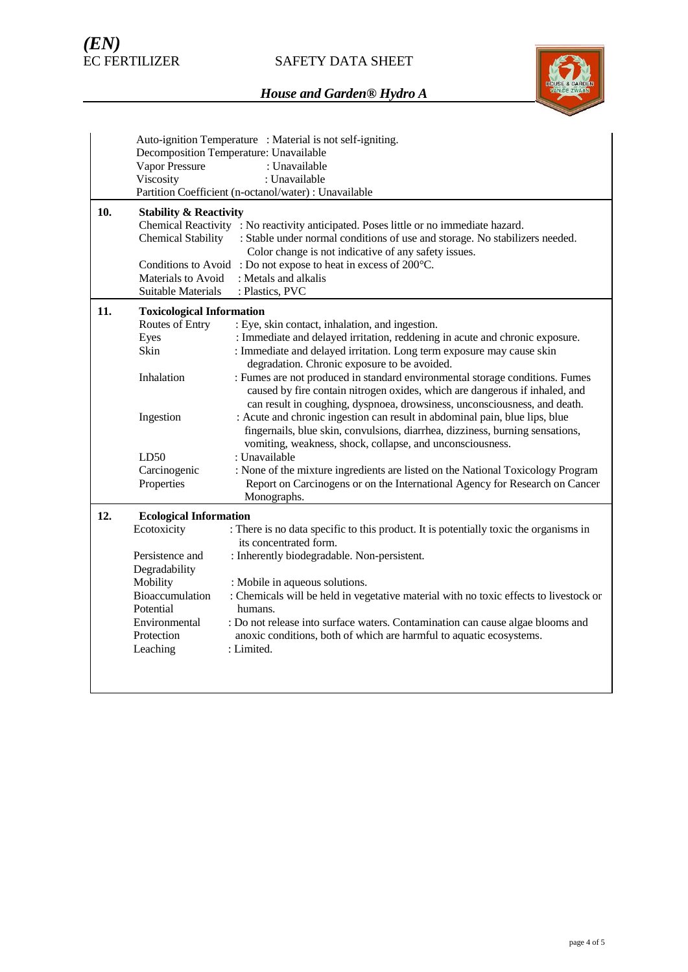# SAFETY DATA SHEET



|     | Auto-ignition Temperature : Material is not self-igniting. |                                                                                       |  |  |  |
|-----|------------------------------------------------------------|---------------------------------------------------------------------------------------|--|--|--|
|     | Decomposition Temperature: Unavailable                     |                                                                                       |  |  |  |
|     | Vapor Pressure                                             | : Unavailable                                                                         |  |  |  |
|     | Viscosity                                                  | : Unavailable                                                                         |  |  |  |
|     |                                                            | Partition Coefficient (n-octanol/water) : Unavailable                                 |  |  |  |
| 10. | <b>Stability &amp; Reactivity</b>                          |                                                                                       |  |  |  |
|     |                                                            | Chemical Reactivity : No reactivity anticipated. Poses little or no immediate hazard. |  |  |  |
|     | <b>Chemical Stability</b>                                  | : Stable under normal conditions of use and storage. No stabilizers needed.           |  |  |  |
|     |                                                            | Color change is not indicative of any safety issues.                                  |  |  |  |
|     |                                                            | Conditions to Avoid: Do not expose to heat in excess of 200°C.                        |  |  |  |
|     | Materials to Avoid                                         | : Metals and alkalis                                                                  |  |  |  |
|     | <b>Suitable Materials</b>                                  | : Plastics, PVC                                                                       |  |  |  |
|     |                                                            |                                                                                       |  |  |  |
| 11. | <b>Toxicological Information</b>                           |                                                                                       |  |  |  |
|     | Routes of Entry                                            | : Eye, skin contact, inhalation, and ingestion.                                       |  |  |  |
|     | Eyes                                                       | : Immediate and delayed irritation, reddening in acute and chronic exposure.          |  |  |  |
|     | Skin                                                       | : Immediate and delayed irritation. Long term exposure may cause skin                 |  |  |  |
|     |                                                            | degradation. Chronic exposure to be avoided.                                          |  |  |  |
|     | Inhalation                                                 | : Fumes are not produced in standard environmental storage conditions. Fumes          |  |  |  |
|     |                                                            | caused by fire contain nitrogen oxides, which are dangerous if inhaled, and           |  |  |  |
|     |                                                            | can result in coughing, dyspnoea, drowsiness, unconsciousness, and death.             |  |  |  |
|     | Ingestion                                                  | : Acute and chronic ingestion can result in abdominal pain, blue lips, blue           |  |  |  |
|     |                                                            | fingernails, blue skin, convulsions, diarrhea, dizziness, burning sensations,         |  |  |  |
|     | LD50                                                       | vomiting, weakness, shock, collapse, and unconsciousness.<br>: Unavailable            |  |  |  |
|     | Carcinogenic                                               | : None of the mixture ingredients are listed on the National Toxicology Program       |  |  |  |
|     | Properties                                                 | Report on Carcinogens or on the International Agency for Research on Cancer           |  |  |  |
|     |                                                            | Monographs.                                                                           |  |  |  |
|     |                                                            |                                                                                       |  |  |  |
| 12. | <b>Ecological Information</b>                              |                                                                                       |  |  |  |
|     | Ecotoxicity                                                | : There is no data specific to this product. It is potentially toxic the organisms in |  |  |  |
|     |                                                            | its concentrated form.                                                                |  |  |  |
|     | Persistence and                                            | : Inherently biodegradable. Non-persistent.                                           |  |  |  |
|     | Degradability                                              |                                                                                       |  |  |  |
|     | Mobility                                                   | : Mobile in aqueous solutions.                                                        |  |  |  |
|     | Bioaccumulation                                            | : Chemicals will be held in vegetative material with no toxic effects to livestock or |  |  |  |
|     | Potential                                                  | humans.                                                                               |  |  |  |
|     | Environmental                                              | : Do not release into surface waters. Contamination can cause algae blooms and        |  |  |  |
|     | Protection                                                 | anoxic conditions, both of which are harmful to aquatic ecosystems.                   |  |  |  |
|     | Leaching                                                   | : Limited.                                                                            |  |  |  |
|     |                                                            |                                                                                       |  |  |  |
|     |                                                            |                                                                                       |  |  |  |